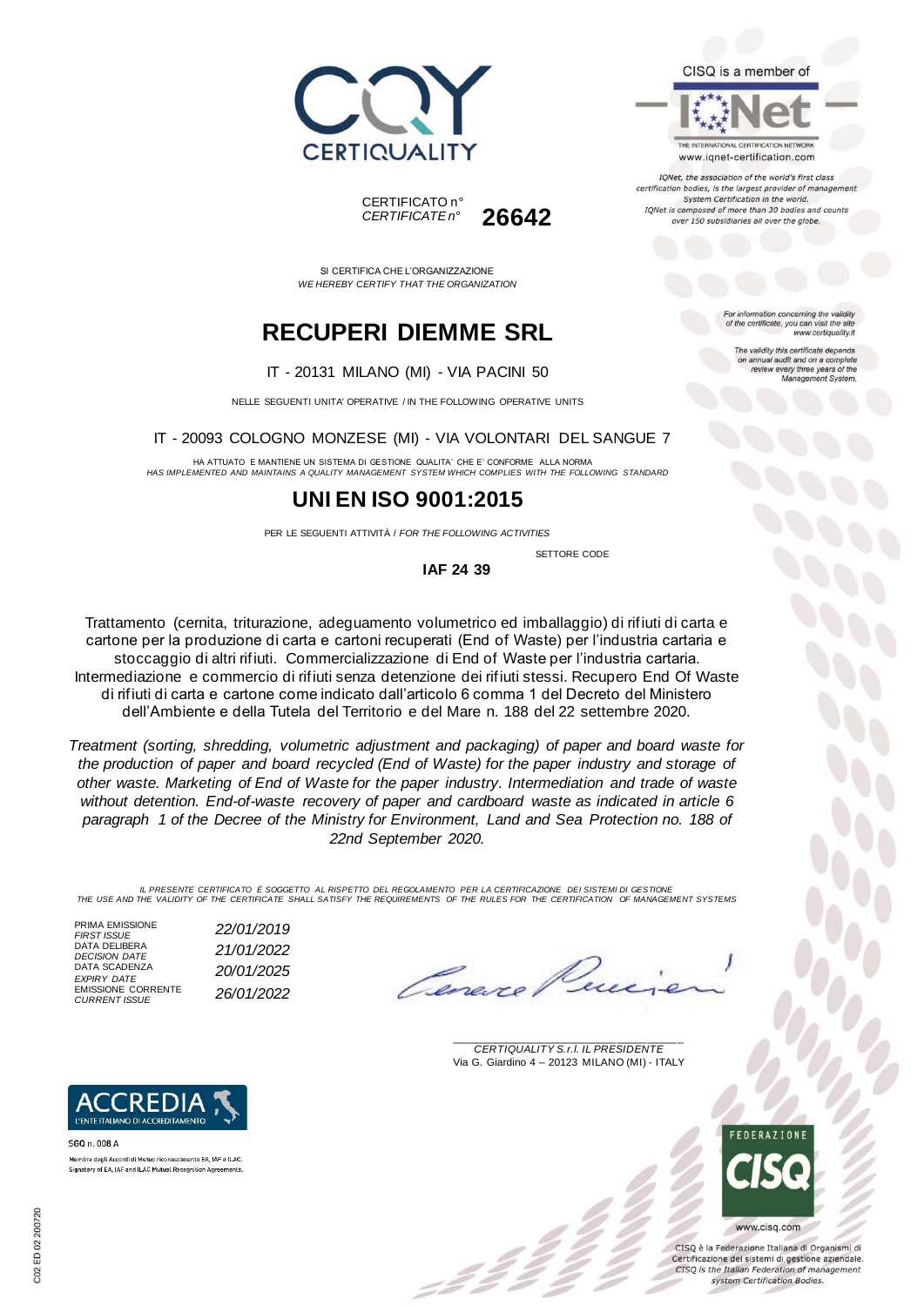



THE INTERNATIONAL CERTIFICATION NETWORK www.iqnet-certification.com

TONet, the association of the world's first class certification bodies, is the largest provider of managen System Certification in the world. IQNet is composed of more than 30 bodies and counts over 150 subsidiaries all over the globe.

> tion concerning the validity of the certificate, you can visit the sit www.certiquality.it

> > The validity this certificate depends on annual audit and on a complete<br>review every three years of the<br>Management System.

CERTIFICATO n° *CERTIFICATE n°* **26642**

SI CERTIFICA CHE L'ORGANIZZAZIONE *WE HEREBY CERTIFY THAT THE ORGANIZATION*

## **RECUPERI DIEMME SRL**

IT - 20131 MILANO (MI) - VIA PACINI 50

NELLE SEGUENTI UNITA' OPERATIVE / IN THE FOLLOWING OPERATIVE UNITS

IT - 20093 COLOGNO MONZESE (MI) - VIA VOLONTARI DEL SANGUE 7

HA ATTUATO E MANTIENE UN SISTEMA DI GESTIONE QUALITA' CHE E' CONFORME ALLA NORMA *HAS IMPLEMENTED AND MAINTAINS A QUALITY MANAGEMENT SYSTEM WHICH COMPLIES WITH THE FOLLOWING STANDARD*

### **UNI EN ISO 9001:2015**

PER LE SEGUENTI ATTIVITÀ / *FOR THE FOLLOWING ACTIVITIES*

SETTORE CODE

**IAF 24 39**

Trattamento (cernita, triturazione, adeguamento volumetrico ed imballaggio) di rifiuti di carta e cartone per la produzione di carta e cartoni recuperati (End of Waste) per l'industria cartaria e stoccaggio di altri rifiuti. Commercializzazione di End of Waste per l'industria cartaria. Intermediazione e commercio di rifiuti senza detenzione dei rifiuti stessi. Recupero End Of Waste di rifiuti di carta e cartone come indicato dall'articolo 6 comma 1 del Decreto del Ministero dell'Ambiente e della Tutela del Territorio e del Mare n. 188 del 22 settembre 2020.

*Treatment (sorting, shredding, volumetric adjustment and packaging) of paper and board waste for the production of paper and board recycled (End of Waste) for the paper industry and storage of other waste. Marketing of End of Waste for the paper industry. Intermediation and trade of waste without detention. End-of-waste recovery of paper and cardboard waste as indicated in article 6 paragraph 1 of the Decree of the Ministry for Environment, Land and Sea Protection no. 188 of 22nd September 2020.*

*IL PRESENTE CERTIFICATO È SOGGETTO AL RISPETTO DEL REGOLAMENTO PER LA CERTIFICAZIONE DEI SISTEMI DI GESTIONE THE USE AND THE VALIDITY OF THE CERTIFICATE SHALL SATISFY THE REQUIREMENTS OF THE RULES FOR THE CERTIFICATION OF MANAGEMENT SYSTEMS*

PRIMA EMISSIONE *FIRST ISSUE 22/01/2019* DATA DELIBERA *DECISION DATE 21/01/2022* DATA SCADENZA *EXPIRY DATE 20/01/2025* EMISSIONE CORRENTE<br>CURRENT ISSUE

SGQ n. 008 A

**REDI** L'ENTE ITALIANO DI ACCREDITAMENTO

Membro degli Accordi di Mutuo riconoscimento EA, IAF e ILAC Signatory of EA, IAF and ILAC Mutual Recognition Agreements

*CURRENT ISSUE 26/01/2022*

l'une.

\_\_\_\_\_\_\_\_\_\_\_\_\_\_\_\_\_\_\_\_\_\_\_\_\_\_\_\_\_\_\_\_\_\_\_\_\_\_\_ *CERTIQUALITY S.r.l. IL PRESIDENTE* Via G. Giardino 4 – 20123 MILANO (MI) - ITALY



CISO è la Federazione Italiana di Organismi di Certificazione dei sistemi di gestione aziendale. CISQ is the Italian Federation of management system Certification Bodies.